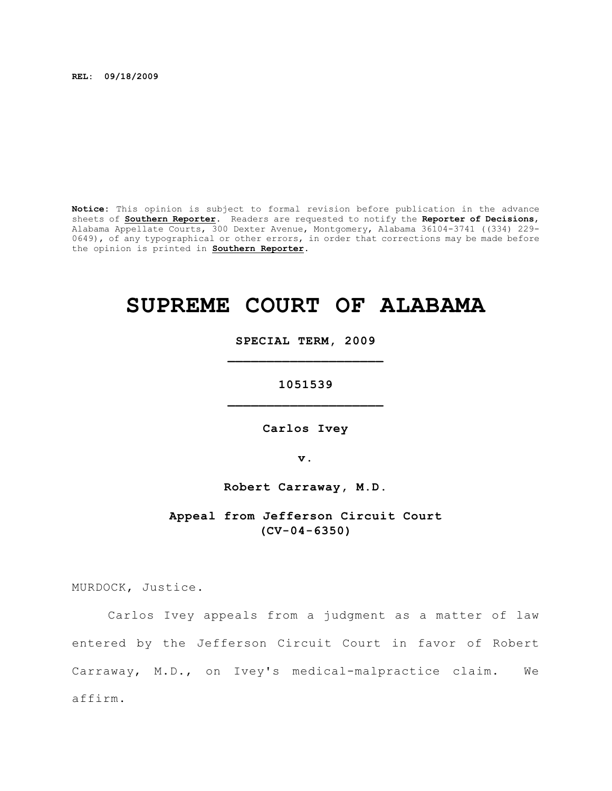**REL: 09/18/2009**

**Notice:** This opinion is subject to formal revision before publication in the advance sheets of **Southern Reporter**. Readers are requested to notify the **Reporter of Decisions**, Alabama Appellate Courts, 300 Dexter Avenue, Montgomery, Alabama 36104-3741 ((334) 229- 0649), of any typographical or other errors, in order that corrections may be made before the opinion is printed in **Southern Reporter**.

# **SUPREME COURT OF ALABAMA**

**SPECIAL TERM, 2009 \_\_\_\_\_\_\_\_\_\_\_\_\_\_\_\_\_\_\_\_**

**1051539 \_\_\_\_\_\_\_\_\_\_\_\_\_\_\_\_\_\_\_\_**

**Carlos Ivey**

**v.**

**Robert Carraway, M.D.**

**Appeal from Jefferson Circuit Court (CV-04-6350)**

MURDOCK, Justice.

Carlos Ivey appeals from a judgment as a matter of law entered by the Jefferson Circuit Court in favor of Robert Carraway, M.D., on Ivey's medical-malpractice claim. We affirm.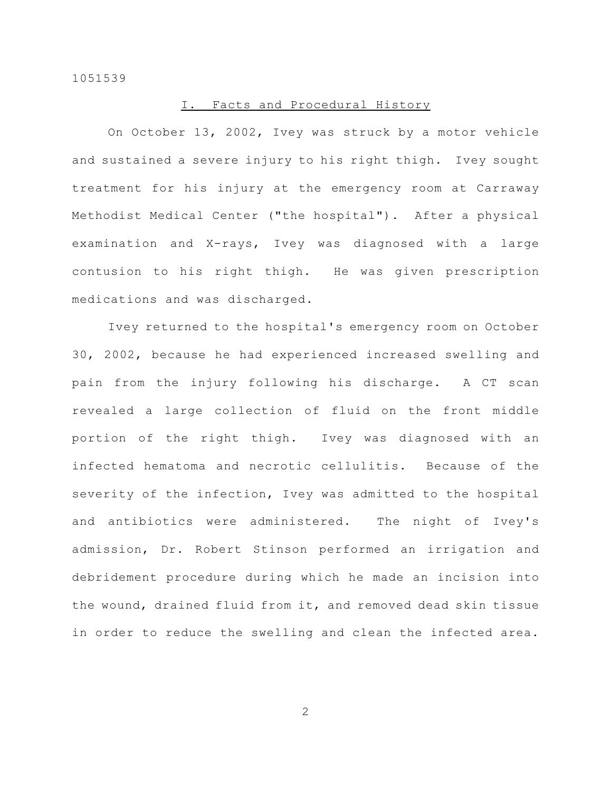## I. Facts and Procedural History

On October 13, 2002, Ivey was struck by a motor vehicle and sustained a severe injury to his right thigh. Ivey sought treatment for his injury at the emergency room at Carraway Methodist Medical Center ("the hospital"). After a physical examination and X-rays, Ivey was diagnosed with a large contusion to his right thigh. He was given prescription medications and was discharged.

Ivey returned to the hospital's emergency room on October 30, 2002, because he had experienced increased swelling and pain from the injury following his discharge. A CT scan revealed a large collection of fluid on the front middle portion of the right thigh. Ivey was diagnosed with an infected hematoma and necrotic cellulitis. Because of the severity of the infection, Ivey was admitted to the hospital and antibiotics were administered. The night of Ivey's admission, Dr. Robert Stinson performed an irrigation and debridement procedure during which he made an incision into the wound, drained fluid from it, and removed dead skin tissue in order to reduce the swelling and clean the infected area.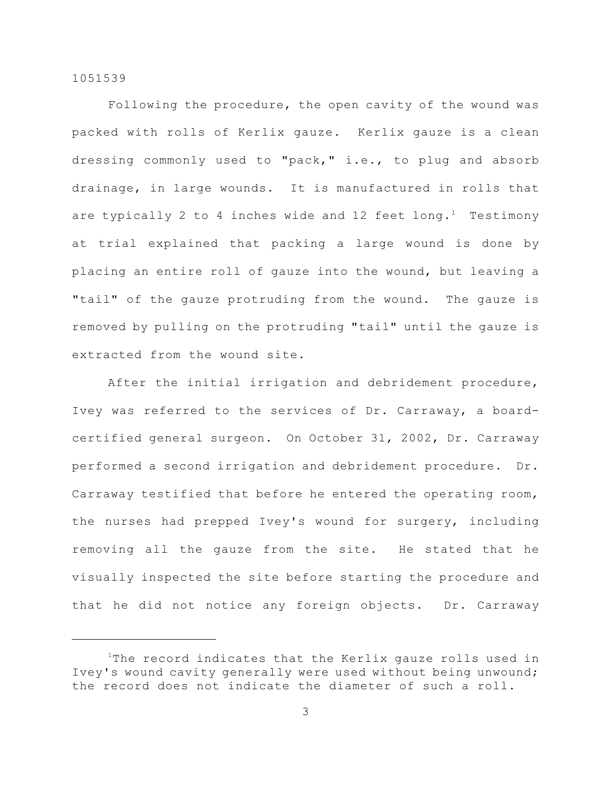Following the procedure, the open cavity of the wound was packed with rolls of Kerlix gauze. Kerlix gauze is a clean dressing commonly used to "pack," i.e., to plug and absorb drainage, in large wounds. It is manufactured in rolls that are typically 2 to 4 inches wide and 12 feet long.<sup>1</sup> Testimony at trial explained that packing a large wound is done by placing an entire roll of gauze into the wound, but leaving a "tail" of the gauze protruding from the wound. The gauze is removed by pulling on the protruding "tail" until the gauze is extracted from the wound site.

After the initial irrigation and debridement procedure, Ivey was referred to the services of Dr. Carraway, a boardcertified general surgeon. On October 31, 2002, Dr. Carraway performed a second irrigation and debridement procedure. Dr. Carraway testified that before he entered the operating room, the nurses had prepped Ivey's wound for surgery, including removing all the gauze from the site. He stated that he visually inspected the site before starting the procedure and that he did not notice any foreign objects. Dr. Carraway

 $1$ The record indicates that the Kerlix gauze rolls used in Ivey's wound cavity generally were used without being unwound; the record does not indicate the diameter of such a roll.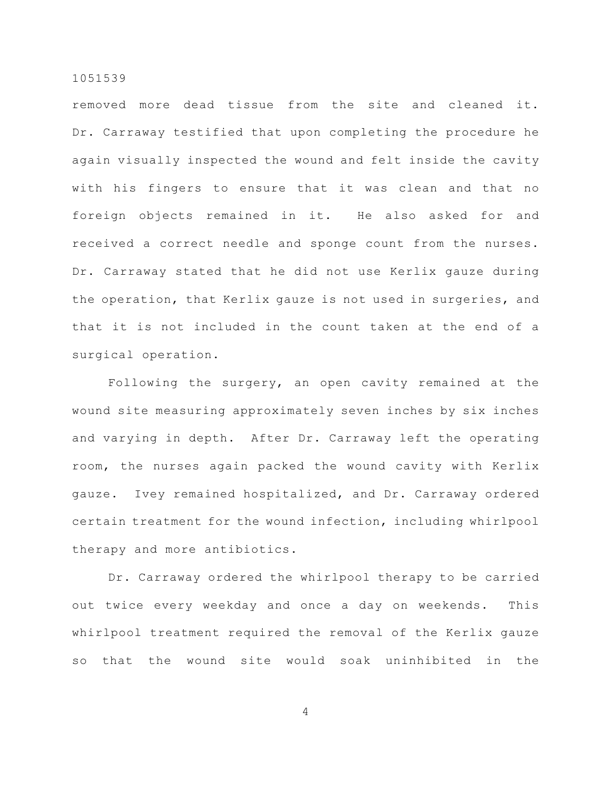removed more dead tissue from the site and cleaned it. Dr. Carraway testified that upon completing the procedure he again visually inspected the wound and felt inside the cavity with his fingers to ensure that it was clean and that no foreign objects remained in it. He also asked for and received a correct needle and sponge count from the nurses. Dr. Carraway stated that he did not use Kerlix gauze during the operation, that Kerlix gauze is not used in surgeries, and that it is not included in the count taken at the end of a surgical operation.

Following the surgery, an open cavity remained at the wound site measuring approximately seven inches by six inches and varying in depth. After Dr. Carraway left the operating room, the nurses again packed the wound cavity with Kerlix gauze. Ivey remained hospitalized, and Dr. Carraway ordered certain treatment for the wound infection, including whirlpool therapy and more antibiotics.

Dr. Carraway ordered the whirlpool therapy to be carried out twice every weekday and once a day on weekends. This whirlpool treatment required the removal of the Kerlix gauze so that the wound site would soak uninhibited in the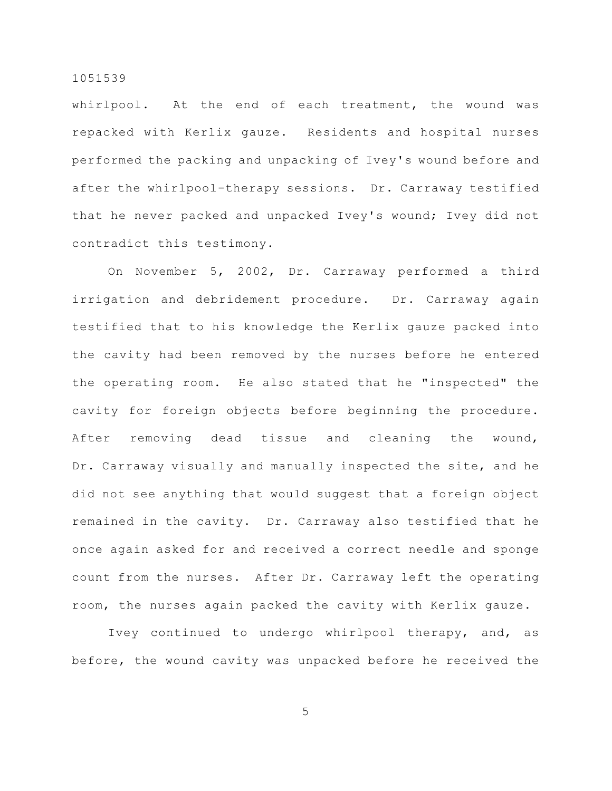whirlpool. At the end of each treatment, the wound was repacked with Kerlix gauze. Residents and hospital nurses performed the packing and unpacking of Ivey's wound before and after the whirlpool-therapy sessions. Dr. Carraway testified that he never packed and unpacked Ivey's wound; Ivey did not contradict this testimony.

On November 5, 2002, Dr. Carraway performed a third irrigation and debridement procedure. Dr. Carraway again testified that to his knowledge the Kerlix gauze packed into the cavity had been removed by the nurses before he entered the operating room. He also stated that he "inspected" the cavity for foreign objects before beginning the procedure. After removing dead tissue and cleaning the wound, Dr. Carraway visually and manually inspected the site, and he did not see anything that would suggest that a foreign object remained in the cavity. Dr. Carraway also testified that he once again asked for and received a correct needle and sponge count from the nurses. After Dr. Carraway left the operating room, the nurses again packed the cavity with Kerlix gauze.

Ivey continued to undergo whirlpool therapy, and, as before, the wound cavity was unpacked before he received the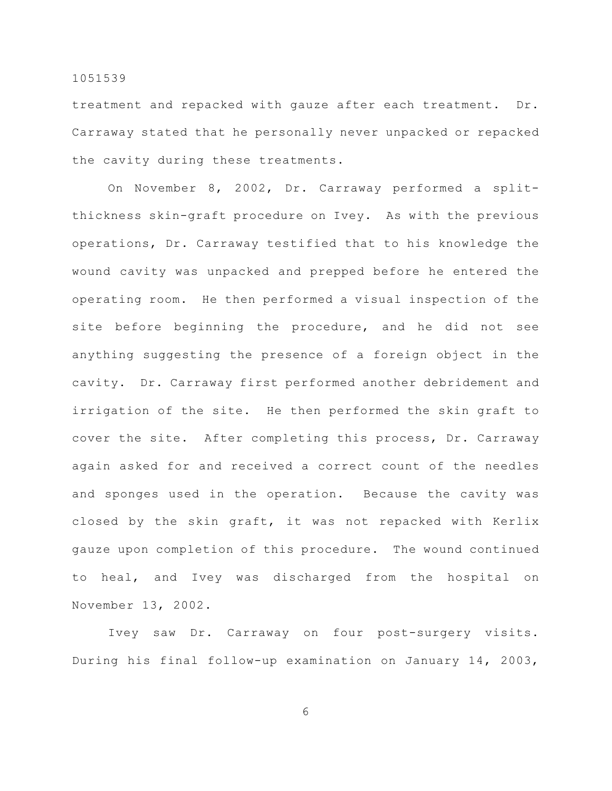treatment and repacked with gauze after each treatment. Dr. Carraway stated that he personally never unpacked or repacked the cavity during these treatments.

On November 8, 2002, Dr. Carraway performed a splitthickness skin-graft procedure on Ivey. As with the previous operations, Dr. Carraway testified that to his knowledge the wound cavity was unpacked and prepped before he entered the operating room. He then performed a visual inspection of the site before beginning the procedure, and he did not see anything suggesting the presence of a foreign object in the cavity. Dr. Carraway first performed another debridement and irrigation of the site. He then performed the skin graft to cover the site. After completing this process, Dr. Carraway again asked for and received a correct count of the needles and sponges used in the operation. Because the cavity was closed by the skin graft, it was not repacked with Kerlix gauze upon completion of this procedure. The wound continued to heal, and Ivey was discharged from the hospital on November 13, 2002.

Ivey saw Dr. Carraway on four post-surgery visits. During his final follow-up examination on January 14, 2003,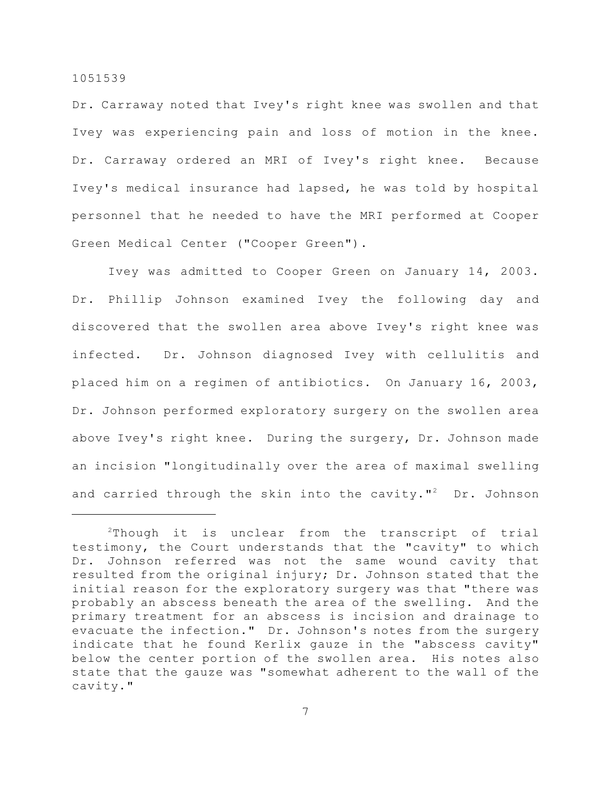Dr. Carraway noted that Ivey's right knee was swollen and that Ivey was experiencing pain and loss of motion in the knee. Dr. Carraway ordered an MRI of Ivey's right knee. Because Ivey's medical insurance had lapsed, he was told by hospital personnel that he needed to have the MRI performed at Cooper Green Medical Center ("Cooper Green").

Ivey was admitted to Cooper Green on January 14, 2003. Dr. Phillip Johnson examined Ivey the following day and discovered that the swollen area above Ivey's right knee was infected. Dr. Johnson diagnosed Ivey with cellulitis and placed him on a regimen of antibiotics. On January 16, 2003, Dr. Johnson performed exploratory surgery on the swollen area above Ivey's right knee. During the surgery, Dr. Johnson made an incision "longitudinally over the area of maximal swelling and carried through the skin into the cavity."<sup>2</sup> Dr. Johnson

 $2$ Though it is unclear from the transcript of trial testimony, the Court understands that the "cavity" to which Dr. Johnson referred was not the same wound cavity that resulted from the original injury; Dr. Johnson stated that the initial reason for the exploratory surgery was that "there was probably an abscess beneath the area of the swelling. And the primary treatment for an abscess is incision and drainage to evacuate the infection." Dr. Johnson's notes from the surgery indicate that he found Kerlix gauze in the "abscess cavity" below the center portion of the swollen area. His notes also state that the gauze was "somewhat adherent to the wall of the cavity."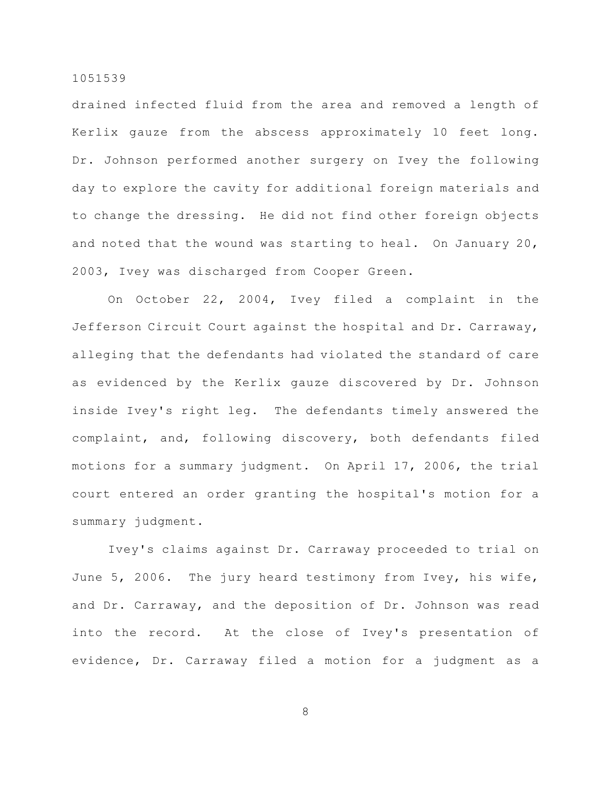drained infected fluid from the area and removed a length of Kerlix gauze from the abscess approximately 10 feet long. Dr. Johnson performed another surgery on Ivey the following day to explore the cavity for additional foreign materials and to change the dressing. He did not find other foreign objects and noted that the wound was starting to heal. On January 20, 2003, Ivey was discharged from Cooper Green.

On October 22, 2004, Ivey filed a complaint in the Jefferson Circuit Court against the hospital and Dr. Carraway, alleging that the defendants had violated the standard of care as evidenced by the Kerlix gauze discovered by Dr. Johnson inside Ivey's right leg. The defendants timely answered the complaint, and, following discovery, both defendants filed motions for a summary judgment. On April 17, 2006, the trial court entered an order granting the hospital's motion for a summary judgment.

Ivey's claims against Dr. Carraway proceeded to trial on June 5, 2006. The jury heard testimony from Ivey, his wife, and Dr. Carraway, and the deposition of Dr. Johnson was read into the record. At the close of Ivey's presentation of evidence, Dr. Carraway filed a motion for a judgment as a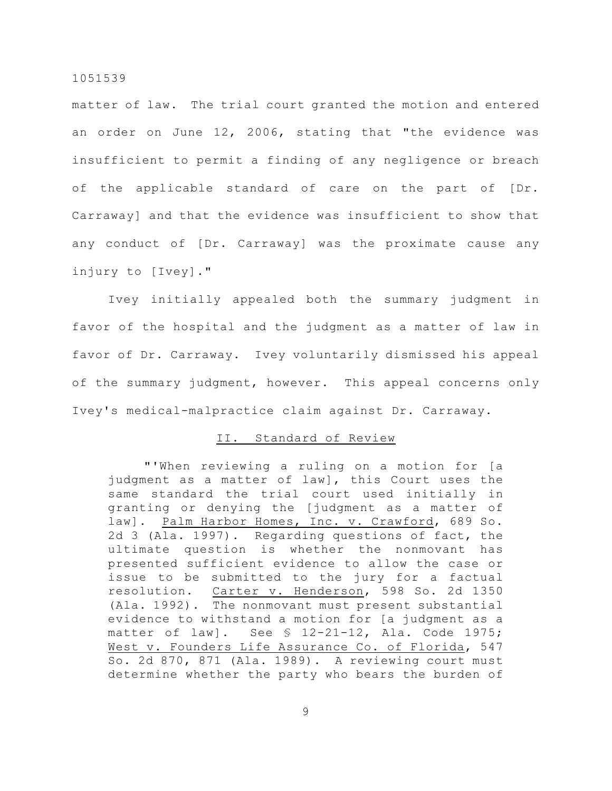matter of law. The trial court granted the motion and entered an order on June 12, 2006, stating that "the evidence was insufficient to permit a finding of any negligence or breach of the applicable standard of care on the part of [Dr. Carraway] and that the evidence was insufficient to show that any conduct of [Dr. Carraway] was the proximate cause any injury to [Ivey]."

Ivey initially appealed both the summary judgment in favor of the hospital and the judgment as a matter of law in favor of Dr. Carraway. Ivey voluntarily dismissed his appeal of the summary judgment, however. This appeal concerns only Ivey's medical-malpractice claim against Dr. Carraway.

## II. Standard of Review

"'When reviewing a ruling on a motion for [a judgment as a matter of law], this Court uses the same standard the trial court used initially in granting or denying the [judgment as a matter of law]. Palm Harbor Homes, Inc. v. Crawford, 689 So. 2d 3 (Ala. 1997). Regarding questions of fact, the ultimate question is whether the nonmovant has presented sufficient evidence to allow the case or issue to be submitted to the jury for a factual resolution. Carter v. Henderson, 598 So. 2d 1350 (Ala. 1992). The nonmovant must present substantial evidence to withstand a motion for [a judgment as a matter of law]. See § 12-21-12, Ala. Code 1975; West v. Founders Life Assurance Co. of Florida, 547 So. 2d 870, 871 (Ala. 1989). A reviewing court must determine whether the party who bears the burden of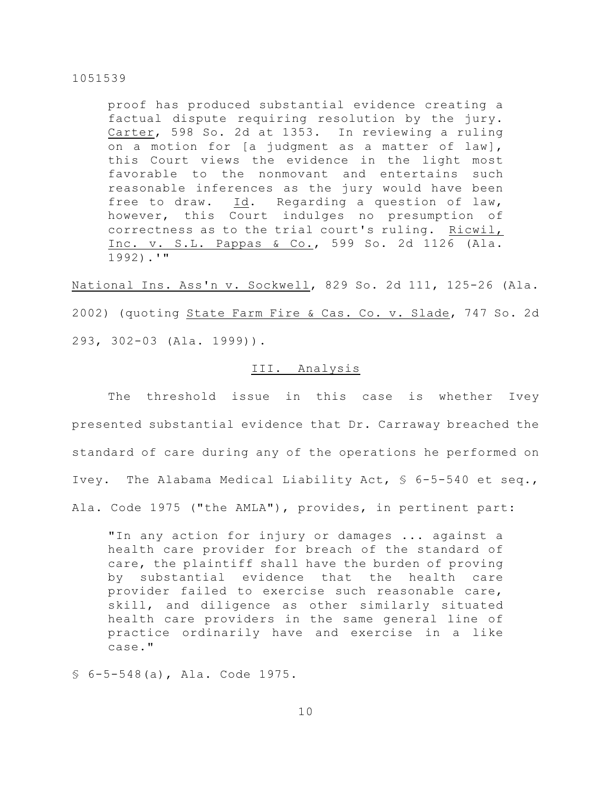proof has produced substantial evidence creating a factual dispute requiring resolution by the jury. Carter, 598 So. 2d at 1353. In reviewing a ruling on a motion for [a judgment as a matter of law], this Court views the evidence in the light most favorable to the nonmovant and entertains such reasonable inferences as the jury would have been free to draw. Id. Regarding a question of law, however, this Court indulges no presumption of correctness as to the trial court's ruling. Ricwil, Inc. v. S.L. Pappas & Co., 599 So. 2d 1126 (Ala. 1992).'"

National Ins. Ass'n v. Sockwell, 829 So. 2d 111, 125-26 (Ala. 2002) (quoting State Farm Fire & Cas. Co. v. Slade, 747 So. 2d 293, 302-03 (Ala. 1999)).

# III. Analysis

The threshold issue in this case is whether Ivey presented substantial evidence that Dr. Carraway breached the standard of care during any of the operations he performed on Ivey. The Alabama Medical Liability Act, § 6-5-540 et seq., Ala. Code 1975 ("the AMLA"), provides, in pertinent part:

"In any action for injury or damages ... against a health care provider for breach of the standard of care, the plaintiff shall have the burden of proving by substantial evidence that the health care provider failed to exercise such reasonable care, skill, and diligence as other similarly situated health care providers in the same general line of practice ordinarily have and exercise in a like case."

§ 6-5-548(a), Ala. Code 1975.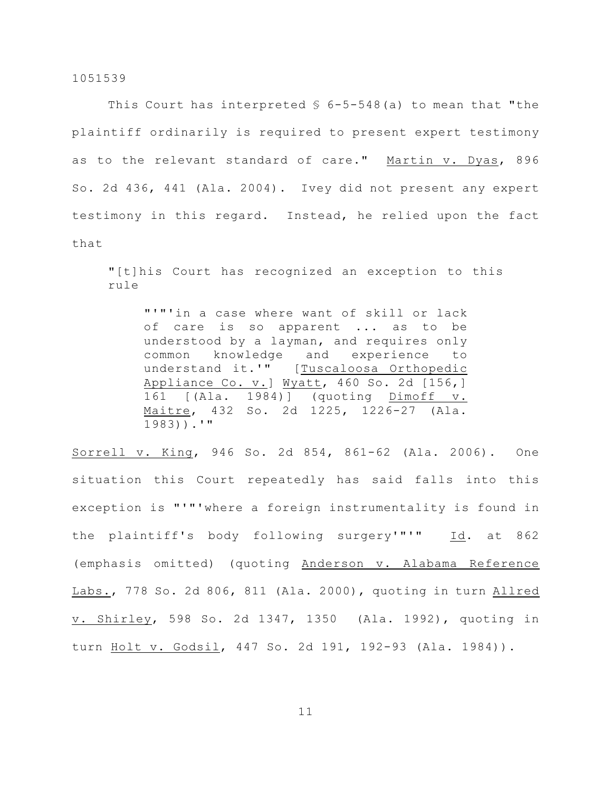This Court has interpreted  $$6-5-548(a)$  to mean that "the plaintiff ordinarily is required to present expert testimony as to the relevant standard of care." Martin v. Dyas, 896 So. 2d 436, 441 (Ala. 2004). Ivey did not present any expert testimony in this regard. Instead, he relied upon the fact that

"[t]his Court has recognized an exception to this rule

"'"'in a case where want of skill or lack of care is so apparent ... as to be understood by a layman, and requires only common knowledge and experience to understand it.'" [Tuscaloosa Orthopedic Appliance Co. v.] Wyatt, 460 So. 2d [156,] 161 [(Ala. 1984)] (quoting Dimoff v. Maitre, 432 So. 2d 1225, 1226-27 (Ala. 1983)).'"

Sorrell v. King, 946 So. 2d 854, 861-62 (Ala. 2006). One situation this Court repeatedly has said falls into this exception is "'"'where a foreign instrumentality is found in the plaintiff's body following surgery'"'" Id. at 862 (emphasis omitted) (quoting Anderson v. Alabama Reference Labs., 778 So. 2d 806, 811 (Ala. 2000), quoting in turn Allred v. Shirley, 598 So. 2d 1347, 1350 (Ala. 1992), quoting in turn Holt v. Godsil, 447 So. 2d 191, 192-93 (Ala. 1984)).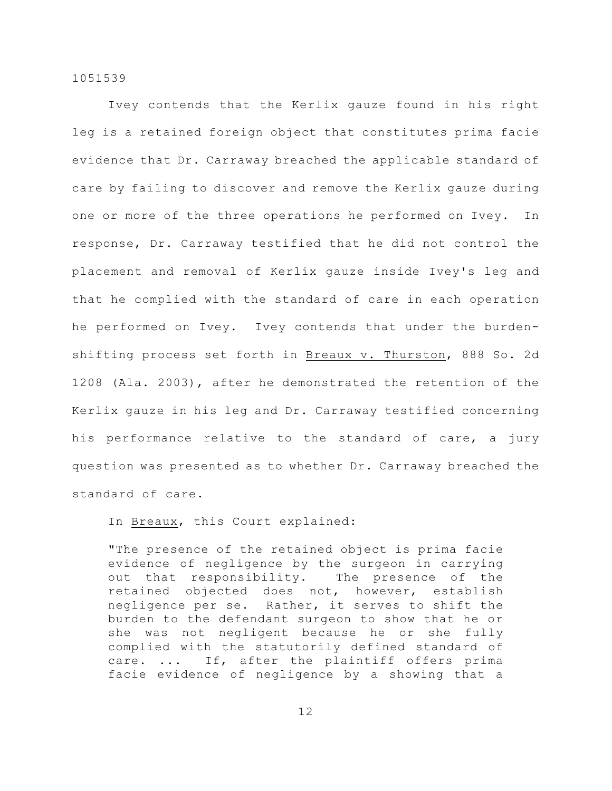Ivey contends that the Kerlix gauze found in his right leg is a retained foreign object that constitutes prima facie evidence that Dr. Carraway breached the applicable standard of care by failing to discover and remove the Kerlix gauze during one or more of the three operations he performed on Ivey. In response, Dr. Carraway testified that he did not control the placement and removal of Kerlix gauze inside Ivey's leg and that he complied with the standard of care in each operation he performed on Ivey. Ivey contends that under the burdenshifting process set forth in Breaux v. Thurston, 888 So. 2d 1208 (Ala. 2003), after he demonstrated the retention of the Kerlix gauze in his leg and Dr. Carraway testified concerning his performance relative to the standard of care, a jury question was presented as to whether Dr. Carraway breached the standard of care.

In Breaux, this Court explained:

"The presence of the retained object is prima facie evidence of negligence by the surgeon in carrying out that responsibility. The presence of the retained objected does not, however, establish negligence per se. Rather, it serves to shift the burden to the defendant surgeon to show that he or she was not negligent because he or she fully complied with the statutorily defined standard of care. ... If, after the plaintiff offers prima facie evidence of negligence by a showing that a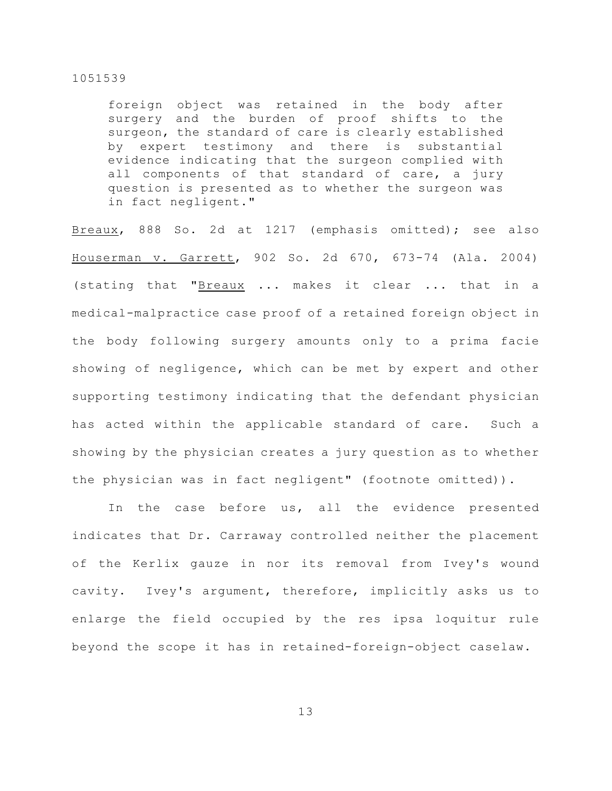foreign object was retained in the body after surgery and the burden of proof shifts to the surgeon, the standard of care is clearly established by expert testimony and there is substantial evidence indicating that the surgeon complied with all components of that standard of care, a jury question is presented as to whether the surgeon was in fact negligent."

Breaux, 888 So. 2d at 1217 (emphasis omitted); see also Houserman v. Garrett, 902 So. 2d 670, 673-74 (Ala. 2004) (stating that "Breaux ... makes it clear ... that in a medical-malpractice case proof of a retained foreign object in the body following surgery amounts only to a prima facie showing of negligence, which can be met by expert and other supporting testimony indicating that the defendant physician has acted within the applicable standard of care. Such a showing by the physician creates a jury question as to whether the physician was in fact negligent" (footnote omitted)).

In the case before us, all the evidence presented indicates that Dr. Carraway controlled neither the placement of the Kerlix gauze in nor its removal from Ivey's wound cavity. Ivey's argument, therefore, implicitly asks us to enlarge the field occupied by the res ipsa loquitur rule beyond the scope it has in retained-foreign-object caselaw.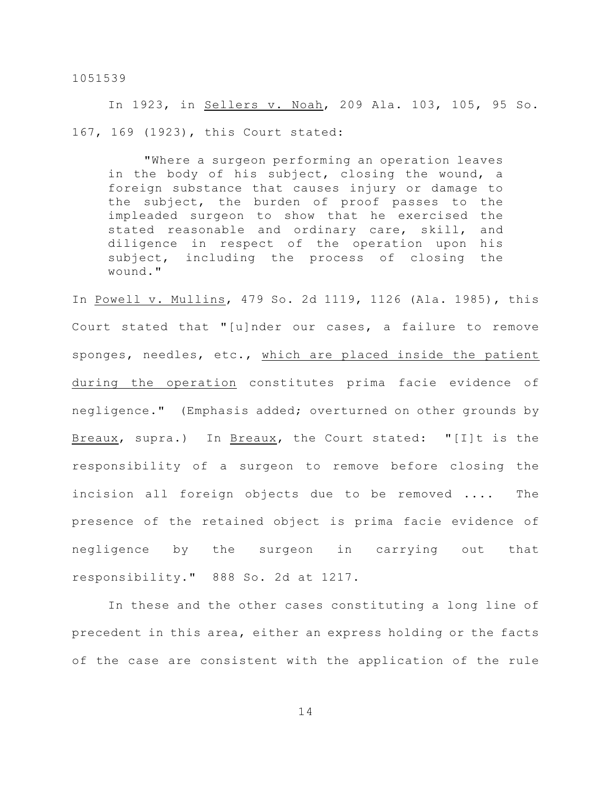In 1923, in Sellers v. Noah, 209 Ala. 103, 105, 95 So. 167, 169 (1923), this Court stated:

"Where a surgeon performing an operation leaves in the body of his subject, closing the wound, a foreign substance that causes injury or damage to the subject, the burden of proof passes to the impleaded surgeon to show that he exercised the stated reasonable and ordinary care, skill, and diligence in respect of the operation upon his subject, including the process of closing the wound."

In Powell v. Mullins, 479 So. 2d 1119, 1126 (Ala. 1985), this Court stated that "[u]nder our cases, a failure to remove sponges, needles, etc., which are placed inside the patient during the operation constitutes prima facie evidence of negligence." (Emphasis added; overturned on other grounds by Breaux, supra.) In Breaux, the Court stated: "[I]t is the responsibility of a surgeon to remove before closing the incision all foreign objects due to be removed .... The presence of the retained object is prima facie evidence of negligence by the surgeon in carrying out that responsibility." 888 So. 2d at 1217.

In these and the other cases constituting a long line of precedent in this area, either an express holding or the facts of the case are consistent with the application of the rule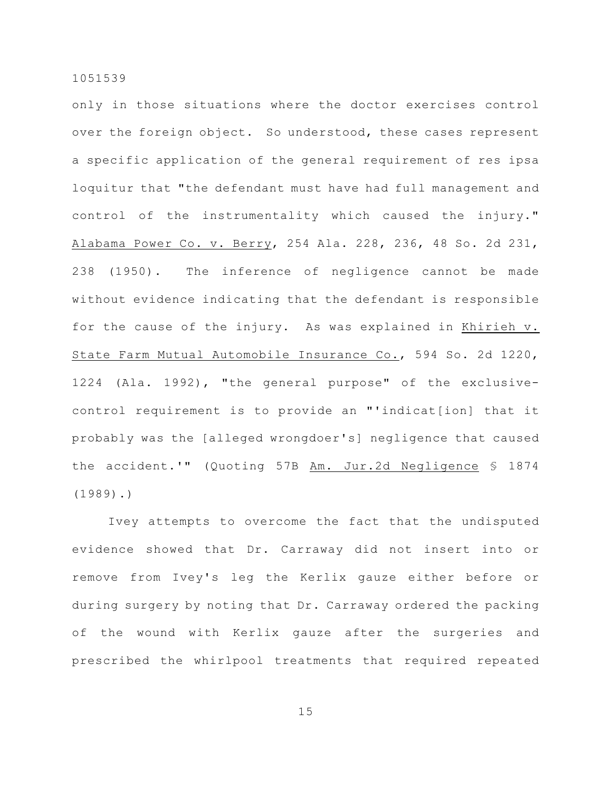only in those situations where the doctor exercises control over the foreign object. So understood, these cases represent a specific application of the general requirement of res ipsa loquitur that "the defendant must have had full management and control of the instrumentality which caused the injury." Alabama Power Co. v. Berry, 254 Ala. 228, 236, 48 So. 2d 231, 238 (1950). The inference of negligence cannot be made without evidence indicating that the defendant is responsible for the cause of the injury. As was explained in Khirieh v. State Farm Mutual Automobile Insurance Co., 594 So. 2d 1220, 1224 (Ala. 1992), "the general purpose" of the exclusivecontrol requirement is to provide an "'indicat[ion] that it probably was the [alleged wrongdoer's] negligence that caused the accident.'" (Quoting 57B Am. Jur.2d Negligence § 1874 (1989).)

Ivey attempts to overcome the fact that the undisputed evidence showed that Dr. Carraway did not insert into or remove from Ivey's leg the Kerlix gauze either before or during surgery by noting that Dr. Carraway ordered the packing of the wound with Kerlix gauze after the surgeries and prescribed the whirlpool treatments that required repeated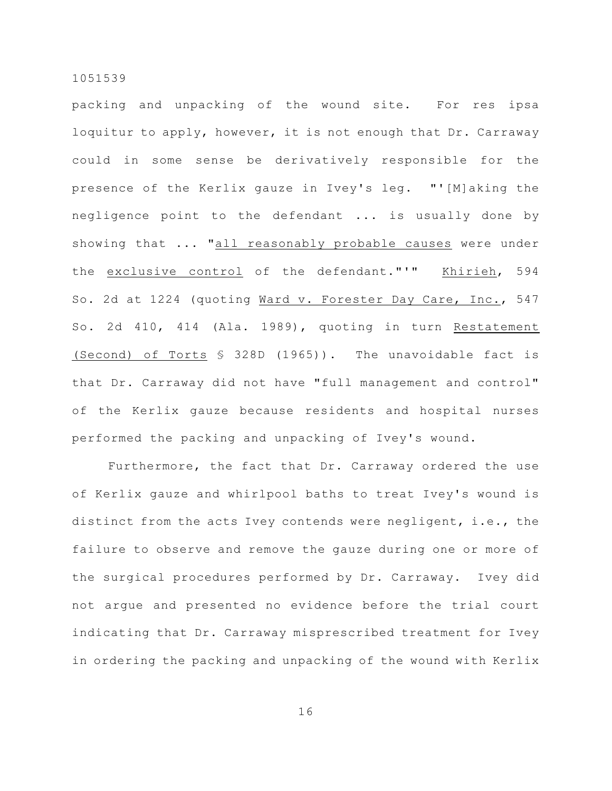packing and unpacking of the wound site. For res ipsa loquitur to apply, however, it is not enough that Dr. Carraway could in some sense be derivatively responsible for the presence of the Kerlix gauze in Ivey's leg. "'[M]aking the negligence point to the defendant ... is usually done by showing that ... "all reasonably probable causes were under the exclusive control of the defendant."'" Khirieh, 594 So. 2d at 1224 (quoting Ward v. Forester Day Care, Inc., 547 So. 2d 410, 414 (Ala. 1989), quoting in turn Restatement (Second) of Torts § 328D (1965)). The unavoidable fact is that Dr. Carraway did not have "full management and control" of the Kerlix gauze because residents and hospital nurses performed the packing and unpacking of Ivey's wound.

Furthermore, the fact that Dr. Carraway ordered the use of Kerlix gauze and whirlpool baths to treat Ivey's wound is distinct from the acts Ivey contends were negligent, i.e., the failure to observe and remove the gauze during one or more of the surgical procedures performed by Dr. Carraway. Ivey did not argue and presented no evidence before the trial court indicating that Dr. Carraway misprescribed treatment for Ivey in ordering the packing and unpacking of the wound with Kerlix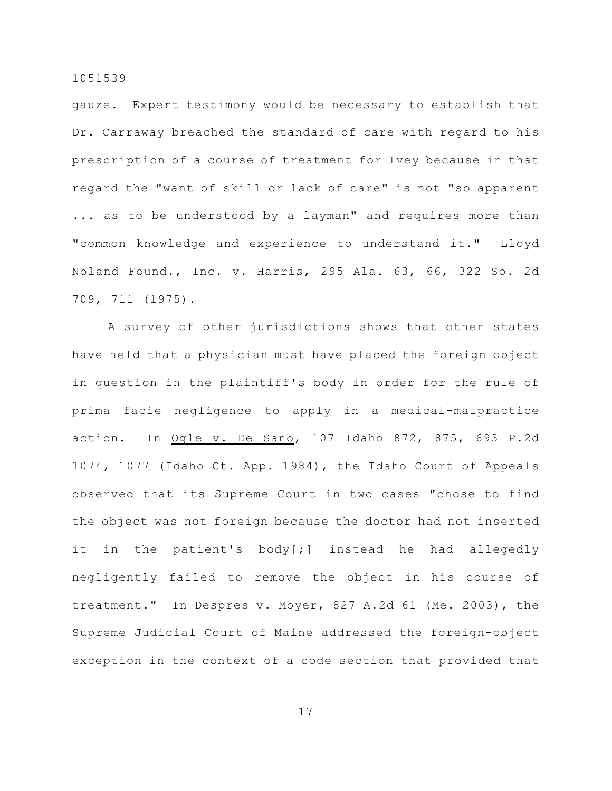gauze. Expert testimony would be necessary to establish that Dr. Carraway breached the standard of care with regard to his prescription of a course of treatment for Ivey because in that regard the "want of skill or lack of care" is not "so apparent ... as to be understood by a layman" and requires more than "common knowledge and experience to understand it." Lloyd Noland Found., Inc. v. Harris, 295 Ala. 63, 66, 322 So. 2d 709, 711 (1975).

A survey of other jurisdictions shows that other states have held that a physician must have placed the foreign object in question in the plaintiff's body in order for the rule of prima facie negligence to apply in a medical-malpractice action. In Ogle v. De Sano, 107 Idaho 872, 875, 693 P.2d 1074, 1077 (Idaho Ct. App. 1984), the Idaho Court of Appeals observed that its Supreme Court in two cases "chose to find the object was not foreign because the doctor had not inserted it in the patient's body[;] instead he had allegedly negligently failed to remove the object in his course of treatment." In Despres v. Moyer, 827 A.2d 61 (Me. 2003), the Supreme Judicial Court of Maine addressed the foreign-object exception in the context of a code section that provided that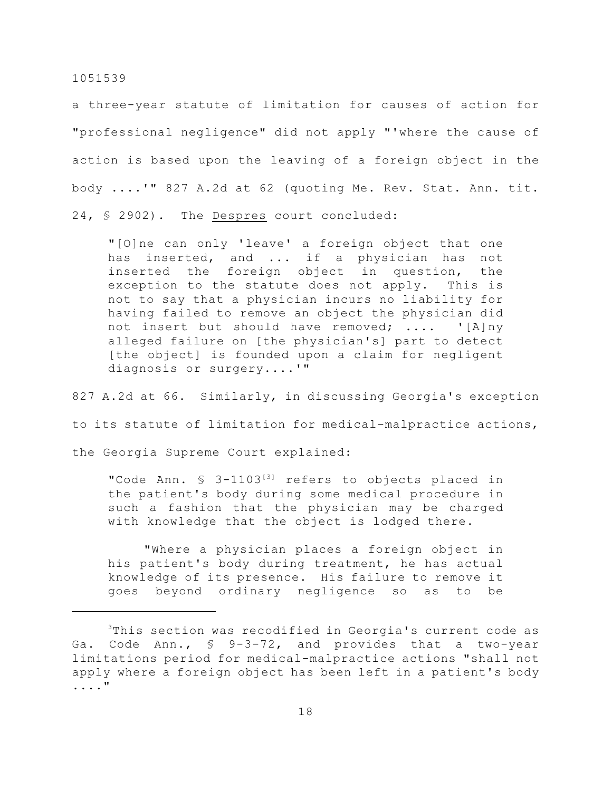a three-year statute of limitation for causes of action for "professional negligence" did not apply "'where the cause of action is based upon the leaving of a foreign object in the body ....'" 827 A.2d at 62 (quoting Me. Rev. Stat. Ann. tit. 24, § 2902). The Despres court concluded:

"[O]ne can only 'leave' a foreign object that one has inserted, and ... if a physician has not inserted the foreign object in question, the exception to the statute does not apply. This is not to say that a physician incurs no liability for having failed to remove an object the physician did not insert but should have removed; .... '[A]ny alleged failure on [the physician's] part to detect [the object] is founded upon a claim for negligent diagnosis or surgery....'"

827 A.2d at 66. Similarly, in discussing Georgia's exception to its statute of limitation for medical-malpractice actions, the Georgia Supreme Court explained:

"Code Ann. § 3-1103<sup>[3]</sup> refers to objects placed in the patient's body during some medical procedure in such a fashion that the physician may be charged with knowledge that the object is lodged there.

"Where a physician places a foreign object in his patient's body during treatment, he has actual knowledge of its presence. His failure to remove it goes beyond ordinary negligence so as to be

 $3$ This section was recodified in Georgia's current code as Ga. Code Ann., § 9-3-72, and provides that a two-year limitations period for medical-malpractice actions "shall not apply where a foreign object has been left in a patient's body ...."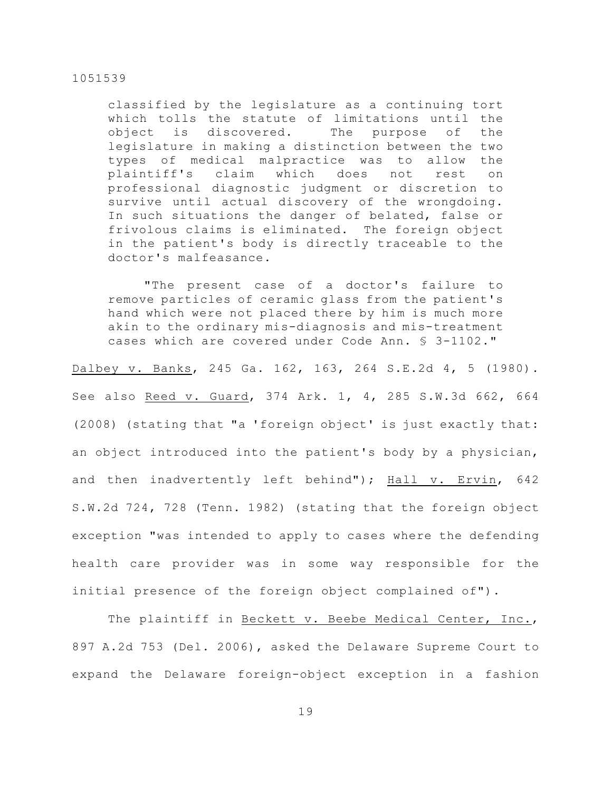classified by the legislature as a continuing tort which tolls the statute of limitations until the object is discovered. The purpose of the legislature in making a distinction between the two types of medical malpractice was to allow the plaintiff's claim which does not rest on professional diagnostic judgment or discretion to survive until actual discovery of the wrongdoing. In such situations the danger of belated, false or frivolous claims is eliminated. The foreign object in the patient's body is directly traceable to the doctor's malfeasance.

"The present case of a doctor's failure to remove particles of ceramic glass from the patient's hand which were not placed there by him is much more akin to the ordinary mis-diagnosis and mis-treatment cases which are covered under Code Ann. § 3-1102."

Dalbey v. Banks, 245 Ga. 162, 163, 264 S.E.2d 4, 5 (1980). See also Reed v. Guard, 374 Ark. 1, 4, 285 S.W.3d 662, 664 (2008) (stating that "a 'foreign object' is just exactly that: an object introduced into the patient's body by a physician, and then inadvertently left behind"); Hall v. Ervin, 642 S.W.2d 724, 728 (Tenn. 1982) (stating that the foreign object exception "was intended to apply to cases where the defending health care provider was in some way responsible for the initial presence of the foreign object complained of").

The plaintiff in Beckett v. Beebe Medical Center, Inc., 897 A.2d 753 (Del. 2006), asked the Delaware Supreme Court to expand the Delaware foreign-object exception in a fashion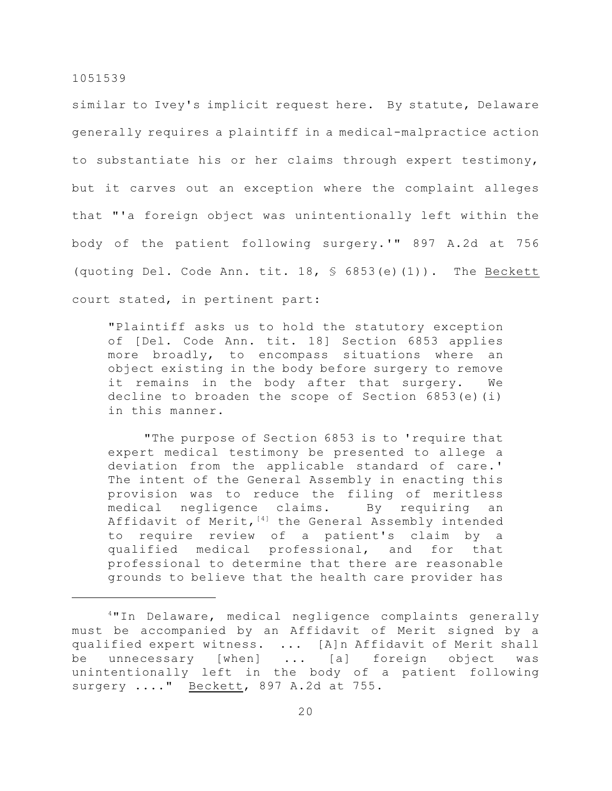similar to Ivey's implicit request here. By statute, Delaware generally requires a plaintiff in a medical-malpractice action to substantiate his or her claims through expert testimony, but it carves out an exception where the complaint alleges that "'a foreign object was unintentionally left within the body of the patient following surgery.'" 897 A.2d at 756 (quoting Del. Code Ann. tit. 18, § 6853(e)(1)). The Beckett court stated, in pertinent part:

"Plaintiff asks us to hold the statutory exception of [Del. Code Ann. tit. 18] Section 6853 applies more broadly, to encompass situations where an object existing in the body before surgery to remove it remains in the body after that surgery. We decline to broaden the scope of Section 6853(e)(i) in this manner.

"The purpose of Section 6853 is to 'require that expert medical testimony be presented to allege a deviation from the applicable standard of care.' The intent of the General Assembly in enacting this provision was to reduce the filing of meritless medical negligence claims. By requiring an Affidavit of Merit,  $[4]$  the General Assembly intended to require review of a patient's claim by a qualified medical professional, and for that professional to determine that there are reasonable grounds to believe that the health care provider has

 $4$ "In Delaware, medical negligence complaints generally must be accompanied by an Affidavit of Merit signed by a qualified expert witness. ... [A]n Affidavit of Merit shall be unnecessary [when] ... [a] foreign object was unintentionally left in the body of a patient following surgery ...." Beckett, 897 A.2d at 755.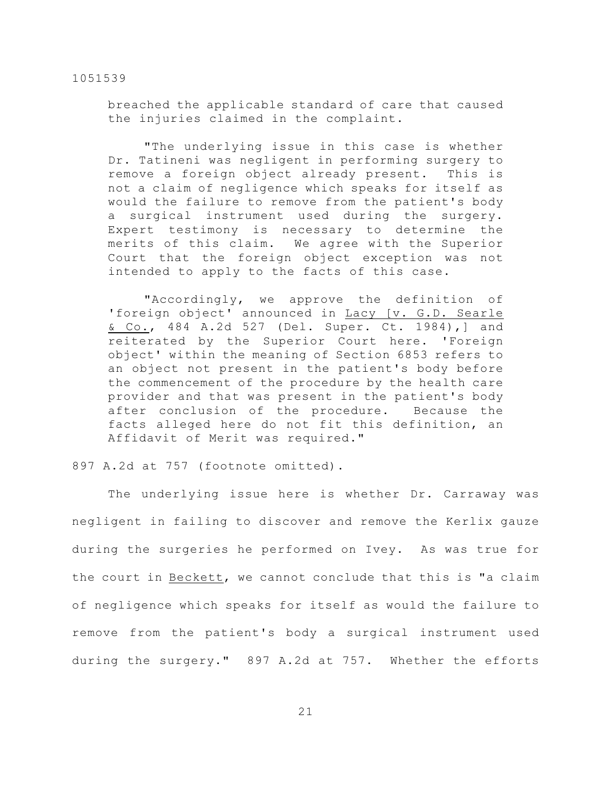breached the applicable standard of care that caused the injuries claimed in the complaint.

"The underlying issue in this case is whether Dr. Tatineni was negligent in performing surgery to remove a foreign object already present. This is not a claim of negligence which speaks for itself as would the failure to remove from the patient's body a surgical instrument used during the surgery. Expert testimony is necessary to determine the merits of this claim. We agree with the Superior Court that the foreign object exception was not intended to apply to the facts of this case.

"Accordingly, we approve the definition of 'foreign object' announced in Lacy [v. G.D. Searle & Co., 484 A.2d 527 (Del. Super. Ct. 1984),] and reiterated by the Superior Court here. 'Foreign object' within the meaning of Section 6853 refers to an object not present in the patient's body before the commencement of the procedure by the health care provider and that was present in the patient's body after conclusion of the procedure. Because the facts alleged here do not fit this definition, an Affidavit of Merit was required."

897 A.2d at 757 (footnote omitted).

The underlying issue here is whether Dr. Carraway was negligent in failing to discover and remove the Kerlix gauze during the surgeries he performed on Ivey. As was true for the court in Beckett, we cannot conclude that this is "a claim of negligence which speaks for itself as would the failure to remove from the patient's body a surgical instrument used during the surgery." 897 A.2d at 757. Whether the efforts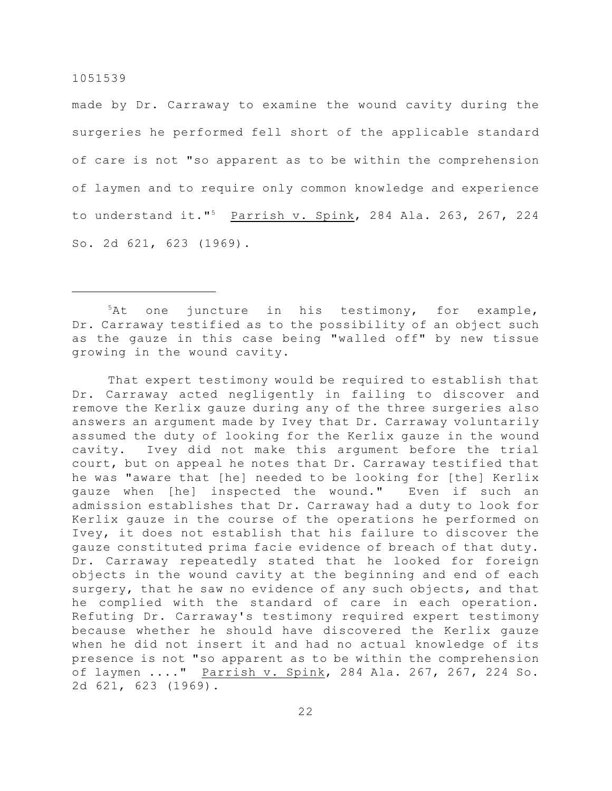made by Dr. Carraway to examine the wound cavity during the surgeries he performed fell short of the applicable standard of care is not "so apparent as to be within the comprehension of laymen and to require only common knowledge and experience to understand it."<sup>5</sup> Parrish v. Spink, 284 Ala. 263, 267, 224 So. 2d 621, 623 (1969).

 $5$ At one juncture in his testimony, for example, Dr. Carraway testified as to the possibility of an object such as the gauze in this case being "walled off" by new tissue growing in the wound cavity.

That expert testimony would be required to establish that Dr. Carraway acted negligently in failing to discover and remove the Kerlix gauze during any of the three surgeries also answers an argument made by Ivey that Dr. Carraway voluntarily assumed the duty of looking for the Kerlix gauze in the wound cavity. Ivey did not make this argument before the trial court, but on appeal he notes that Dr. Carraway testified that he was "aware that [he] needed to be looking for [the] Kerlix gauze when [he] inspected the wound." Even if such an admission establishes that Dr. Carraway had a duty to look for Kerlix gauze in the course of the operations he performed on Ivey, it does not establish that his failure to discover the gauze constituted prima facie evidence of breach of that duty. Dr. Carraway repeatedly stated that he looked for foreign objects in the wound cavity at the beginning and end of each surgery, that he saw no evidence of any such objects, and that he complied with the standard of care in each operation. Refuting Dr. Carraway's testimony required expert testimony because whether he should have discovered the Kerlix gauze when he did not insert it and had no actual knowledge of its presence is not "so apparent as to be within the comprehension of laymen ...." Parrish v. Spink, 284 Ala. 267, 267, 224 So. 2d 621, 623 (1969).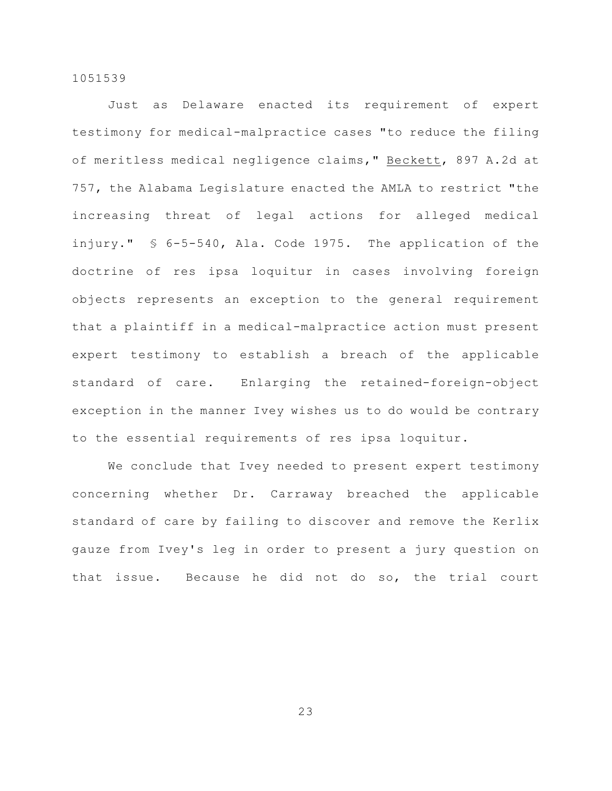Just as Delaware enacted its requirement of expert testimony for medical-malpractice cases "to reduce the filing of meritless medical negligence claims," Beckett, 897 A.2d at 757, the Alabama Legislature enacted the AMLA to restrict "the increasing threat of legal actions for alleged medical injury." § 6-5-540, Ala. Code 1975. The application of the doctrine of res ipsa loquitur in cases involving foreign objects represents an exception to the general requirement that a plaintiff in a medical-malpractice action must present expert testimony to establish a breach of the applicable standard of care. Enlarging the retained-foreign-object exception in the manner Ivey wishes us to do would be contrary to the essential requirements of res ipsa loquitur.

We conclude that Ivey needed to present expert testimony concerning whether Dr. Carraway breached the applicable standard of care by failing to discover and remove the Kerlix gauze from Ivey's leg in order to present a jury question on that issue. Because he did not do so, the trial court